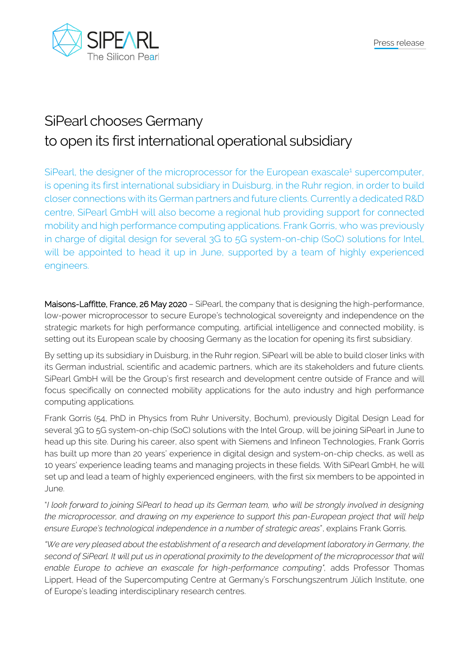

## SiPearl chooses Germany to open its first international operational subsidiary

SiPearl, the designer of the microprocessor for the European exascale<sup>1</sup> supercomputer, is opening its first international subsidiary in Duisburg, in the Ruhr region, in order to build closer connections with its German partners and future clients. Currently a dedicated R&D centre, SiPearl GmbH will also become a regional hub providing support for connected mobility and high performance computing applications. Frank Gorris, who was previously in charge of digital design for several 3G to 5G system-on-chip (SoC) solutions for Intel, will be appointed to head it up in June, supported by a team of highly experienced engineers.

Maisons-Laffitte, France, 26 May 2020 – SiPearl, the company that is designing the high-performance, low-power microprocessor to secure Europe's technological sovereignty and independence on the strategic markets for high performance computing, artificial intelligence and connected mobility, is setting out its European scale by choosing Germany as the location for opening its first subsidiary.

By setting up its subsidiary in Duisburg, in the Ruhr region, SiPearl will be able to build closer links with its German industrial, scientific and academic partners, which are its stakeholders and future clients. SiPearl GmbH will be the Group's first research and development centre outside of France and will focus specifically on connected mobility applications for the auto industry and high performance computing applications.

Frank Gorris (54, PhD in Physics from Ruhr University, Bochum), previously Digital Design Lead for several 3G to 5G system-on-chip (SoC) solutions with the Intel Group, will be joining SiPearl in June to head up this site. During his career, also spent with Siemens and Infineon Technologies, Frank Gorris has built up more than 20 years' experience in digital design and system-on-chip checks, as well as 10 years' experience leading teams and managing projects in these fields. With SiPearl GmbH, he will set up and lead a team of highly experienced engineers, with the first six members to be appointed in June.

"*I look forward to joining SiPearl to head up its German team, who will be strongly involved in designing the microprocessor, and drawing on my experience to support this pan-European project that will help ensure Europe's technological independence in a number of strategic areas*", explains Frank Gorris.

*"We are very pleased about the establishment of a research and development laboratory in Germany, the*  second of SiPearl. It will put us in operational proximity to the development of the microprocessor that will *enable Europe to achieve an exascale for high-performance computing",* adds Professor Thomas Lippert, Head of the Supercomputing Centre at Germany's Forschungszentrum Jülich Institute, one of Europe's leading interdisciplinary research centres.